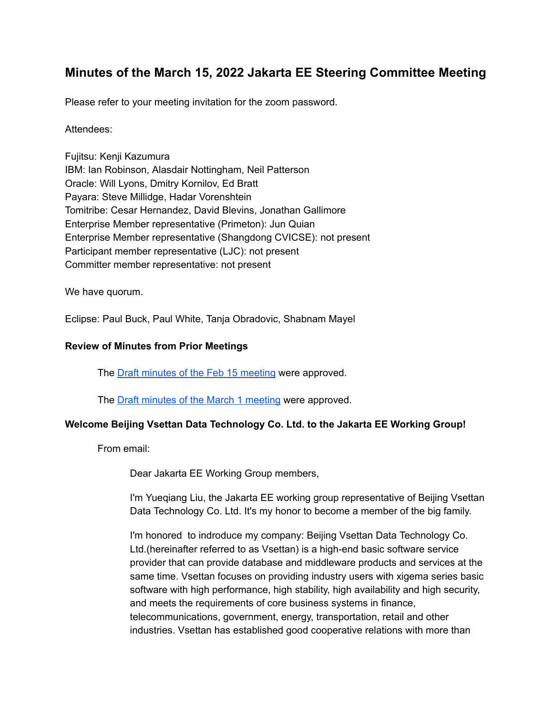# **Minutes of the March 15, 2022 Jakarta EE Steering Committee Meeting**

Please refer to your meeting invitation for the zoom password.

### Attendees:

Fujitsu: Kenji Kazumura IBM: Ian Robinson, Alasdair Nottingham, Neil Patterson Oracle: Will Lyons, Dmitry Kornilov, Ed Bratt Payara: Steve Millidge, Hadar Vorenshtein Tomitribe: Cesar Hernandez, David Blevins, Jonathan Gallimore Enterprise Member representative (Primeton): Jun Quian Enterprise Member representative (Shangdong CVICSE): not present Participant member representative (LJC): not present Committer member representative: not present

We have quorum.

Eclipse: Paul Buck, Paul White, Tanja Obradovic, Shabnam Mayel

### **Review of Minutes from Prior Meetings**

The Draft minutes of the Feb 15 [meeting](https://docs.google.com/document/d/1iwNnDo6S7pph4YQW_8KruCwEkiLvAcyy3P8xbZU-c3Q/edit) were approved.

The Draft minutes of the March 1 [meeting](https://docs.google.com/document/d/1BPHn54rLM3GQE_X61jk4w6uwa_59yIY0zbuMJEokraQ/edit) were approved.

### **Welcome Beijing Vsettan Data Technology Co. Ltd. to the Jakarta EE Working Group!**

From email:

Dear Jakarta EE Working Group members,

I'm Yueqiang Liu, the Jakarta EE working group representative of Beijing Vsettan Data Technology Co. Ltd. It's my honor to become a member of the big family.

I'm honored to indroduce my company: Beijing Vsettan Data Technology Co. Ltd.(hereinafter referred to as Vsettan) is a high-end basic software service provider that can provide database and middleware products and services at the same time. Vsettan focuses on providing industry users with xigema series basic software with high performance, high stability, high availability and high security, and meets the requirements of core business systems in finance, telecommunications, government, energy, transportation, retail and other industries. Vsettan has established good cooperative relations with more than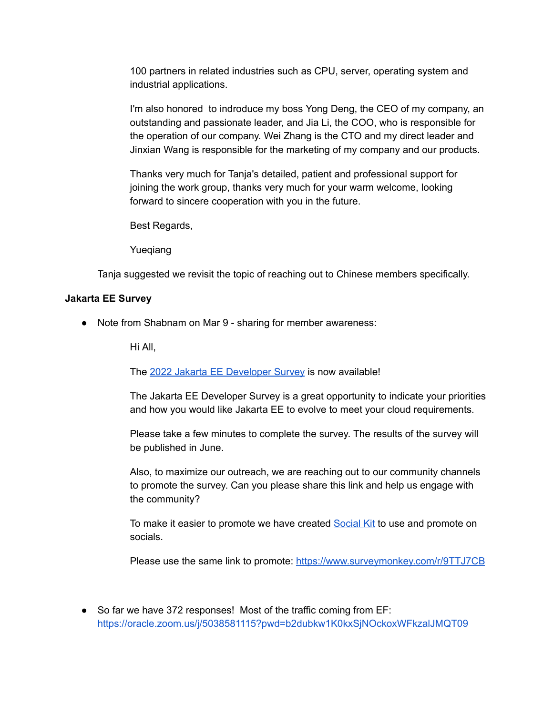100 partners in related industries such as CPU, server, operating system and industrial applications.

I'm also honored to indroduce my boss Yong Deng, the CEO of my company, an outstanding and passionate leader, and Jia Li, the COO, who is responsible for the operation of our company. Wei Zhang is the CTO and my direct leader and Jinxian Wang is responsible for the marketing of my company and our products.

Thanks very much for Tanja's detailed, patient and professional support for joining the work group, thanks very much for your warm welcome, looking forward to sincere cooperation with you in the future.

Best Regards,

Yueqiang

Tanja suggested we revisit the topic of reaching out to Chinese members specifically.

#### **Jakarta EE Survey**

● Note from Shabnam on Mar 9 - sharing for member awareness:

Hi All,

The 2022 Jakarta EE [Developer](https://www.surveymonkey.com/r/9TTJ7CB) Survey is now available!

The Jakarta EE Developer Survey is a great opportunity to indicate your priorities and how you would like Jakarta EE to evolve to meet your cloud requirements.

Please take a few minutes to complete the survey. The results of the survey will be published in June.

Also, to maximize our outreach, we are reaching out to our community channels to promote the survey. Can you please share this link and help us engage with the community?

To make it easier to promote we have created [Social](https://docs.google.com/document/d/1tOq2JDrLjmo_ZdbdBX551NKP-8bRFjAM2x29oMdKahY/edit#heading=h.zbob6a8mgcn5) Kit to use and promote on socials.

Please use the same link to promote: <https://www.surveymonkey.com/r/9TTJ7CB>

● So far we have 372 responses! Most of the traffic coming from EF: <https://oracle.zoom.us/j/5038581115?pwd=b2dubkw1K0kxSjNOckoxWFkzalJMQT09>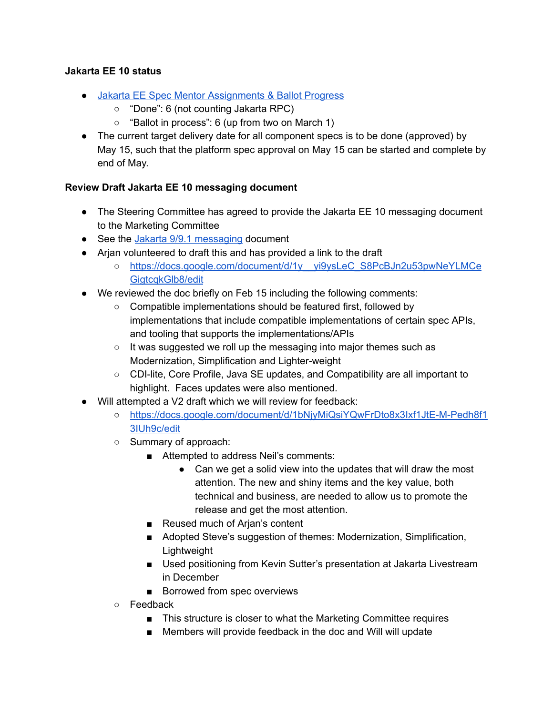# **Jakarta EE 10 status**

- Jakarta EE Spec Mentor [Assignments](https://docs.google.com/spreadsheets/d/1YTUpfdLZZrk2_UGwoX2w0seOCueRO3sQJIjWxpDAa7g/edit#gid=35969432) & Ballot Progress
	- "Done": 6 (not counting Jakarta RPC)
	- $\circ$  "Ballot in process": 6 (up from two on March 1)
- The current target delivery date for all component specs is to be done (approved) by May 15, such that the platform spec approval on May 15 can be started and complete by end of May.

# **Review Draft Jakarta EE 10 messaging document**

- The Steering Committee has agreed to provide the Jakarta EE 10 messaging document to the Marketing Committee
- See the Jakarta 9/9.1 [messaging](https://urldefense.com/v3/__https://docs.google.com/document/d/18hJZsOaiKh6FMqeOoL5WoV6b10T-7UqpE0OXE31eVpE/edit__;!!ACWV5N9M2RV99hQ!ePxBTxM-a7gQZjXX2xqKYs45HPMmEe_CiUorLofRqyRfAnIzj1eIUQGTmS9iLWBX$) document
- Arjan volunteered to draft this and has provided a link to the draft
	- o https://docs.google.com/document/d/1y yi9ysLeC\_S8PcBJn2u53pwNeYLMCe [GigtcqkGlb8/edit](https://docs.google.com/document/d/1y__yi9ysLeC_S8PcBJn2u53pwNeYLMCeGigtcqkGlb8/edit)
- We reviewed the doc briefly on Feb 15 including the following comments:
	- Compatible implementations should be featured first, followed by implementations that include compatible implementations of certain spec APIs, and tooling that supports the implementations/APIs
	- It was suggested we roll up the messaging into major themes such as Modernization, Simplification and Lighter-weight
	- CDI-lite, Core Profile, Java SE updates, and Compatibility are all important to highlight. Faces updates were also mentioned.
- Will attempted a V2 draft which we will review for feedback:
	- [https://docs.google.com/document/d/1bNjyMiQsiYQwFrDto8x3Ixf1JtE-M-Pedh8f1](https://docs.google.com/document/d/1bNjyMiQsiYQwFrDto8x3Ixf1JtE-M-Pedh8f13IUh9c/edit) [3IUh9c/edit](https://docs.google.com/document/d/1bNjyMiQsiYQwFrDto8x3Ixf1JtE-M-Pedh8f13IUh9c/edit)
	- Summary of approach:
		- Attempted to address Neil's comments:
			- Can we get a solid view into the updates that will draw the most attention. The new and shiny items and the key value, both technical and business, are needed to allow us to promote the release and get the most attention.
		- Reused much of Arjan's content
		- Adopted Steve's suggestion of themes: Modernization, Simplification, Lightweight
		- Used positioning from Kevin Sutter's presentation at Jakarta Livestream in December
		- Borrowed from spec overviews
	- Feedback
		- This structure is closer to what the Marketing Committee requires
		- Members will provide feedback in the doc and Will will update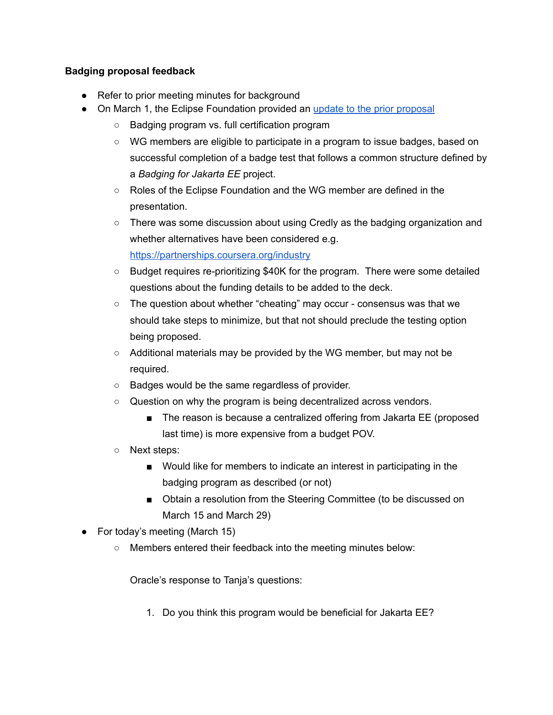# **Badging proposal feedback**

- Refer to prior meeting minutes for background
- On March 1, the Eclipse Foundation provided an update to the prior [proposal](https://drive.google.com/drive/u/1/folders/1lJ-ipUKiSd8cgwu54KlTQm0YAgL7EJ8Z)
	- Badging program vs. full certification program
	- WG members are eligible to participate in a program to issue badges, based on successful completion of a badge test that follows a common structure defined by a *Badging for Jakarta EE* project.
	- Roles of the Eclipse Foundation and the WG member are defined in the presentation.
	- There was some discussion about using Credly as the badging organization and whether alternatives have been considered e.g. <https://partnerships.coursera.org/industry>
	- Budget requires re-prioritizing \$40K for the program. There were some detailed questions about the funding details to be added to the deck.
	- $\circ$  The question about whether "cheating" may occur consensus was that we should take steps to minimize, but that not should preclude the testing option being proposed.
	- Additional materials may be provided by the WG member, but may not be required.
	- Badges would be the same regardless of provider.
	- Question on why the program is being decentralized across vendors.
		- The reason is because a centralized offering from Jakarta EE (proposed last time) is more expensive from a budget POV.
	- Next steps:
		- Would like for members to indicate an interest in participating in the badging program as described (or not)
		- Obtain a resolution from the Steering Committee (to be discussed on March 15 and March 29)
- For today's meeting (March 15)
	- Members entered their feedback into the meeting minutes below:

Oracle's response to Tanja's questions:

1. Do you think this program would be beneficial for Jakarta EE?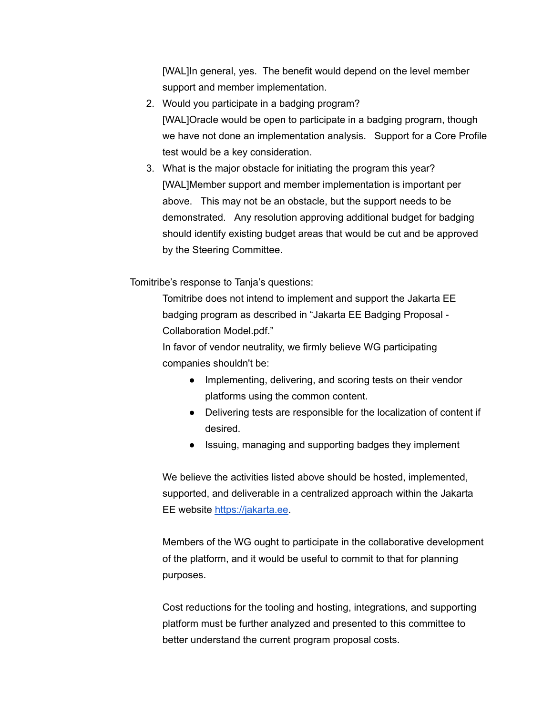[WAL]In general, yes. The benefit would depend on the level member support and member implementation.

- 2. Would you participate in a badging program? [WAL]Oracle would be open to participate in a badging program, though we have not done an implementation analysis. Support for a Core Profile test would be a key consideration.
- 3. What is the major obstacle for initiating the program this year? [WAL]Member support and member implementation is important per above. This may not be an obstacle, but the support needs to be demonstrated. Any resolution approving additional budget for badging should identify existing budget areas that would be cut and be approved by the Steering Committee.

Tomitribe's response to Tanja's questions:

Tomitribe does not intend to implement and support the Jakarta EE badging program as described in "Jakarta EE Badging Proposal - Collaboration Model.pdf."

In favor of vendor neutrality, we firmly believe WG participating companies shouldn't be:

- Implementing, delivering, and scoring tests on their vendor platforms using the common content.
- Delivering tests are responsible for the localization of content if desired.
- Issuing, managing and supporting badges they implement

We believe the activities listed above should be hosted, implemented, supported, and deliverable in a centralized approach within the Jakarta EE website [https://jakarta.ee.](https://jakarta.ee/)

Members of the WG ought to participate in the collaborative development of the platform, and it would be useful to commit to that for planning purposes.

Cost reductions for the tooling and hosting, integrations, and supporting platform must be further analyzed and presented to this committee to better understand the current program proposal costs.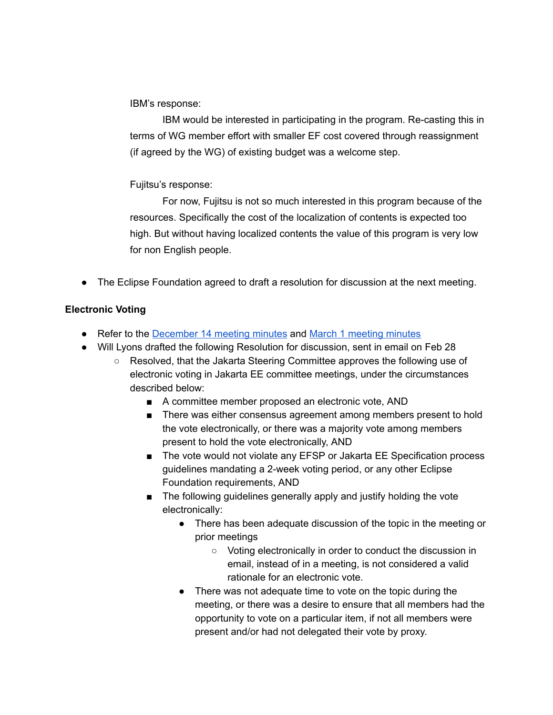IBM's response:

IBM would be interested in participating in the program. Re-casting this in terms of WG member effort with smaller EF cost covered through reassignment (if agreed by the WG) of existing budget was a welcome step.

Fujitsu's response:

For now, Fujitsu is not so much interested in this program because of the resources. Specifically the cost of the localization of contents is expected too high. But without having localized contents the value of this program is very low for non English people.

● The Eclipse Foundation agreed to draft a resolution for discussion at the next meeting.

# **Electronic Voting**

- Refer to the [December](https://jakarta.ee/about/meeting_minutes/steering_committee/minutes-december-14-2021.pdf) 14 [meeting](https://docs.google.com/document/d/1BPHn54rLM3GQE_X61jk4w6uwa_59yIY0zbuMJEokraQ/edit) minutes and March 1 meeting minutes
- Will Lyons drafted the following Resolution for discussion, sent in email on Feb 28
	- Resolved, that the Jakarta Steering Committee approves the following use of electronic voting in Jakarta EE committee meetings, under the circumstances described below:
		- A committee member proposed an electronic vote, AND
		- There was either consensus agreement among members present to hold the vote electronically, or there was a majority vote among members present to hold the vote electronically, AND
		- The vote would not violate any EFSP or Jakarta EE Specification process guidelines mandating a 2-week voting period, or any other Eclipse Foundation requirements, AND
		- The following guidelines generally apply and justify holding the vote electronically:
			- There has been adequate discussion of the topic in the meeting or prior meetings
				- Voting electronically in order to conduct the discussion in email, instead of in a meeting, is not considered a valid rationale for an electronic vote.
			- There was not adequate time to vote on the topic during the meeting, or there was a desire to ensure that all members had the opportunity to vote on a particular item, if not all members were present and/or had not delegated their vote by proxy.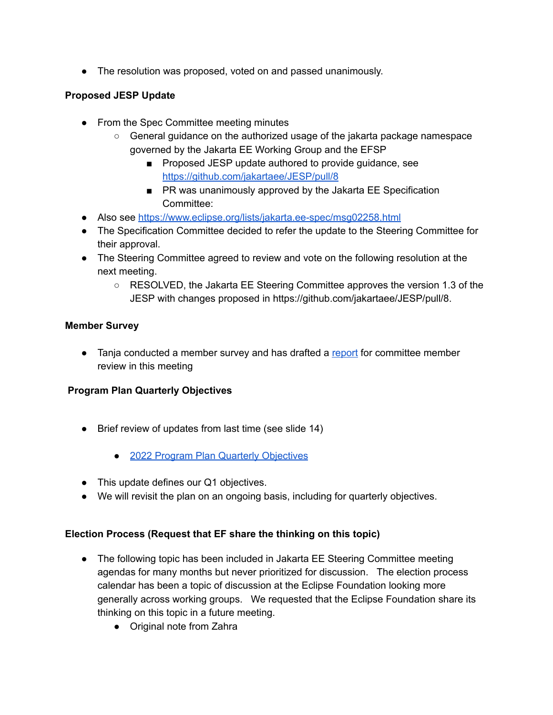• The resolution was proposed, voted on and passed unanimously.

# **Proposed JESP Update**

- From the Spec Committee meeting minutes
	- General guidance on the authorized usage of the jakarta package namespace governed by the Jakarta EE Working Group and the EFSP
		- Proposed JESP update authored to provide guidance, see <https://github.com/jakartaee/JESP/pull/8>
		- PR was unanimously approved by the Jakarta EE Specification Committee:
- Also see <https://www.eclipse.org/lists/jakarta.ee-spec/msg02258.html>
- The Specification Committee decided to refer the update to the Steering Committee for their approval.
- The Steering Committee agreed to review and vote on the following resolution at the next meeting.
	- RESOLVED, the Jakarta EE Steering Committee approves the version 1.3 of the JESP with changes proposed in https://github.com/jakartaee/JESP/pull/8.

# **Member Survey**

• Tanja conducted a member survey and has drafted a [report](https://docs.google.com/presentation/d/1XSZLPjkmWFfIVzzRAug9UosC6bZeyq1s1Vbja70RX0k/edit) for committee member review in this meeting

# **Program Plan Quarterly Objectives**

- Brief review of updates from last time (see slide 14)
	- 2022 Program Plan Quarterly [Objectives](https://urldefense.com/v3/__https://docs.google.com/presentation/d/1JH_ONPYmsQxNgN-ta4Yc6AP7i3Ez1Hq1gP8PX2zbCeo/edit*slide=id.g112ac509088_0_0__;Iw!!ACWV5N9M2RV99hQ!ZftDyw2HsaEQgnsfmx76s2Goi0JVJwzzGXKIZ6Yz16FFI6R6K6ahHQ3PRBf5Fwuz$)
- This update defines our Q1 objectives.
- We will revisit the plan on an ongoing basis, including for quarterly objectives.

# **Election Process (Request that EF share the thinking on this topic)**

- The following topic has been included in Jakarta EE Steering Committee meeting agendas for many months but never prioritized for discussion. The election process calendar has been a topic of discussion at the Eclipse Foundation looking more generally across working groups. We requested that the Eclipse Foundation share its thinking on this topic in a future meeting.
	- Original note from Zahra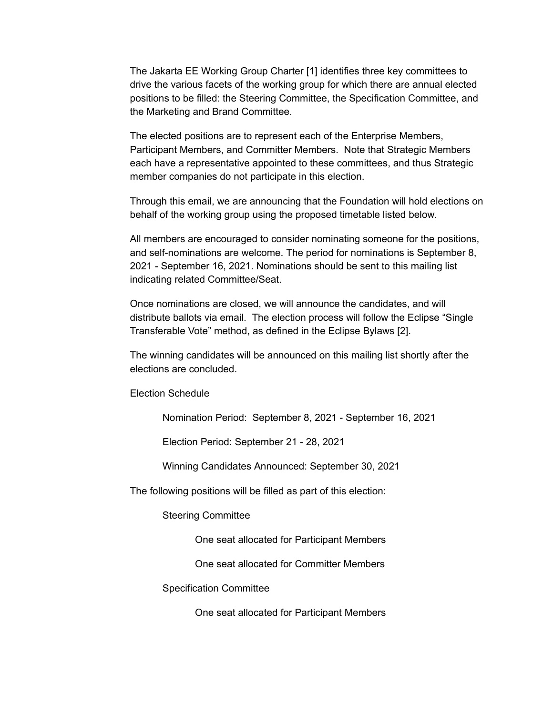The Jakarta EE Working Group Charter [1] identifies three key committees to drive the various facets of the working group for which there are annual elected positions to be filled: the Steering Committee, the Specification Committee, and the Marketing and Brand Committee.

The elected positions are to represent each of the Enterprise Members, Participant Members, and Committer Members. Note that Strategic Members each have a representative appointed to these committees, and thus Strategic member companies do not participate in this election.

Through this email, we are announcing that the Foundation will hold elections on behalf of the working group using the proposed timetable listed below.

All members are encouraged to consider nominating someone for the positions, and self-nominations are welcome. The period for nominations is September 8, 2021 - September 16, 2021. Nominations should be sent to this mailing list indicating related Committee/Seat.

Once nominations are closed, we will announce the candidates, and will distribute ballots via email. The election process will follow the Eclipse "Single Transferable Vote" method, as defined in the Eclipse Bylaws [2].

The winning candidates will be announced on this mailing list shortly after the elections are concluded.

Election Schedule

Nomination Period: September 8, 2021 - September 16, 2021

Election Period: September 21 - 28, 2021

Winning Candidates Announced: September 30, 2021

The following positions will be filled as part of this election:

Steering Committee

One seat allocated for Participant Members

One seat allocated for Committer Members

Specification Committee

One seat allocated for Participant Members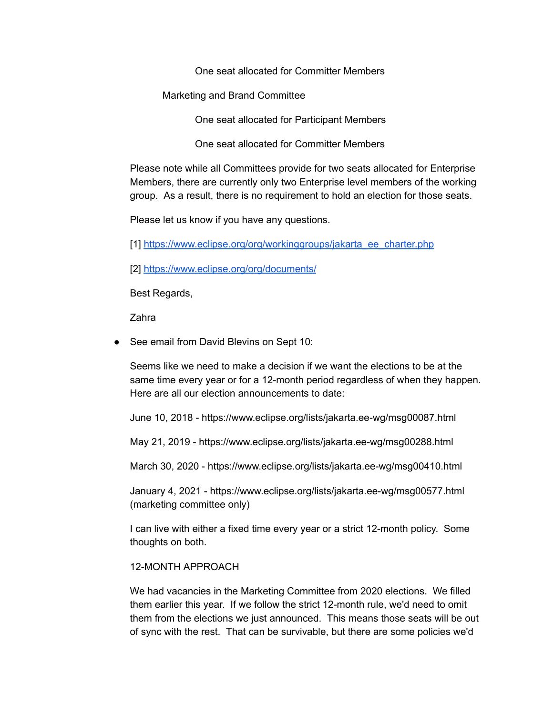One seat allocated for Committer Members

Marketing and Brand Committee

One seat allocated for Participant Members

One seat allocated for Committer Members

Please note while all Committees provide for two seats allocated for Enterprise Members, there are currently only two Enterprise level members of the working group. As a result, there is no requirement to hold an election for those seats.

Please let us know if you have any questions.

[1] [https://www.eclipse.org/org/workinggroups/jakarta\\_ee\\_charter.php](https://www.eclipse.org/org/workinggroups/jakarta_ee_charter.php)

[2] <https://www.eclipse.org/org/documents/>

Best Regards,

Zahra

● See email from David Blevins on Sept 10:

Seems like we need to make a decision if we want the elections to be at the same time every year or for a 12-month period regardless of when they happen. Here are all our election announcements to date:

June 10, 2018 - https://www.eclipse.org/lists/jakarta.ee-wg/msg00087.html

May 21, 2019 - https://www.eclipse.org/lists/jakarta.ee-wg/msg00288.html

March 30, 2020 - https://www.eclipse.org/lists/jakarta.ee-wg/msg00410.html

January 4, 2021 - https://www.eclipse.org/lists/jakarta.ee-wg/msg00577.html (marketing committee only)

I can live with either a fixed time every year or a strict 12-month policy. Some thoughts on both.

#### 12-MONTH APPROACH

We had vacancies in the Marketing Committee from 2020 elections. We filled them earlier this year. If we follow the strict 12-month rule, we'd need to omit them from the elections we just announced. This means those seats will be out of sync with the rest. That can be survivable, but there are some policies we'd